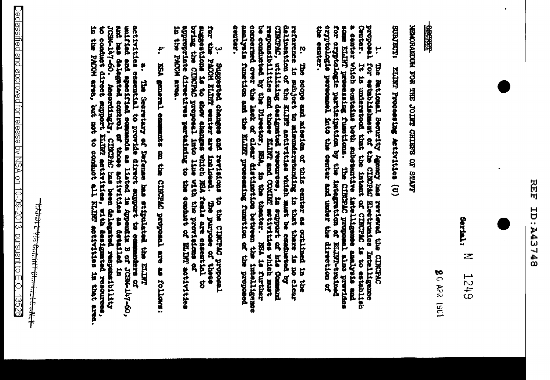# 民民 **BPLEPY: CI**



**Serial:** Z **SHZT** 

20 APR 1961

地部

**ARTIS SAZIHO LELLOC SHAL NOS MONDIONEDI** 

**ISOBINER** ELINT Processing Activities (U)

ę some ELIRT processing functions. The CIRCPAC proposal also providents for cryptologic participation by the integration of ELIRT-trained cryptologic participation by the integration of the cryptologic personnel into the cen 1. The National Security Agency has reviewed the CINCPAC proposal for establishing an termination in the control of the material that the internet of the state of the state of the control of control is the control of the s a center Which contains both substantive intelligemes analysis and dentals estates.

2. The seope and mission of this center as outlined in the reference is the self-set to mission of the mission of the mission and reaching in the thermometric is no clear continued by the ELINT activities with the ELINT an be conducted by the Director, NSA, in the theorer. NSA is further conducting center. analysis function and the ELINT prosessing function of the proposed

 $\sharp$ appropriate directives pertaining to the conduct of ELIFE activities suggestions is to show ahanges which hEA feels are essential to the proposed in the component of the composed into line with the proposed in the component of 3. Suggested changes and revisions to the ClECPAC proposal reproduction of the second structure of the second still a senter are instituted and the parties the NOON and ma purpose or

i. KSA graeral comments on the CIRCPAC proposel are as follows:

activities essential to provide direct mas stipulated the ELIRT<br>unified and specified ecomends as listed in Appendix B of JCSM-l47-60,<br>and has delegated econtrol of those activities as detailed in<br>JCSM-l47-60. Accordingly,

**Britisht Vit Comme Claudion Complete**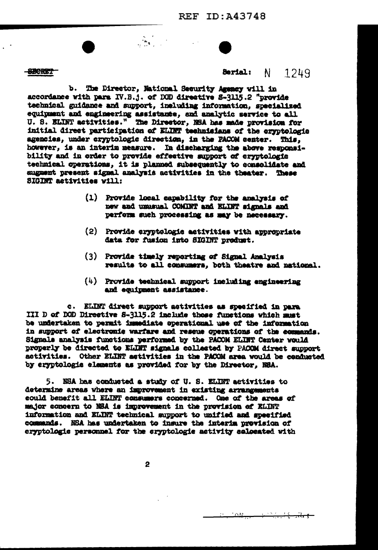**SECRET** 

### 1249 **Berial:**  $\mathbf{N}$

b. The Director, National Security Agency will in accordance with para IV.B.j. of DOD directive S-3115.2 "provide technical guidance and support, including information, specialized equipment and engineering assistance, and analytic service to all U. S. ELINT activities." The Director, NSA has made provision for initial direct participation of ELINT technicians of the eryptologic agencies, under cryptologic direction, in the PACOM senter. This, however, is an interim measure. In discharging the above responsibility and in order to provide effective support of eryptologic technical operations. it is planned subsequently to consolidate and summent present signal analysis activities in the theater. These SIGINT activities will:

 $\frac{1}{2}$ 

- (1) Provide local capability for the analysis of new and unusual COMINT and ELINT signals and perform such processing as may be necessary.
- (2) Provide eryptologie activities with appropriate data for fusion into SIGINT product.
- (3) Provide timely reporting of Signal Analysis results to all consumers, both theatre and national.
- $(4)$  Provide technical support including engineering and equipment assistance.

c. ELINT direct support activities as specified in para III D of DOD Directive S-3115.2 include those functions which must be undertaken to permit immediate operational use of the information in support of electronic warfare and rescue operations of the commands. Signals analysis functions performed by the PACOM ELINT Center would properly be directed to ELIMT signals collected by PACOM direct support activities. Other ELINT activities in the PACOM area would be conducted by eryptologie elements as provided for by the Director, N8A.

5. NSA has conducted a study of U.S. ELINT activities to determine areas where an improvement in existing arrangements could benefit all ELINT consumers concerned. One of the areas of major concern to NSA is improvement in the provision of ELINT information and ELINT technical support to unified and specified commands. NBA has undertaken to insure the interim provision of ervotologie personnel for the cryptologie activity colocated with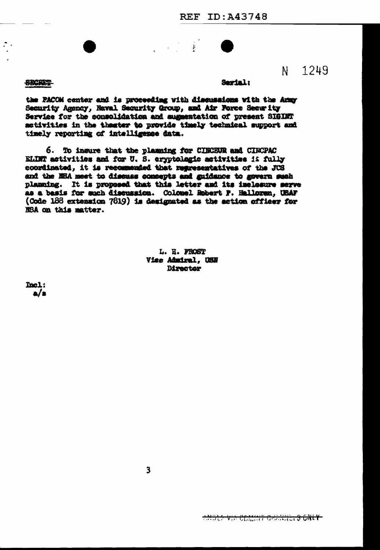$\ddot{\xi}$ 

**SECRET** 

### Serial:

1249

N.

the PACOM center and is proceeding with discussions with the Army Security Agency, Naval Security Group, and Air Force Security Service for the consolidation and sugmentation of present SIGINT activities in the theater to provide timely technical support and timely reporting of intelligence data.

6. To insure that the planning for CINCEUR and CINCPAC ELINT activities and for U.S. eryptologic activities is fully coordinated, it is recommended that regresentatives of the JCS and the NBA meet to discuss concepts and guidance to govern such planning. It is proposed that this letter and its inclosure serve as a basis for such discussion. Colomel Robert P. Halloren, USAF (Code 188 extension 7819) is designated as the action officer for NSA on this matter.

> L. H. FROST Viee Admiral. USN **Birector**

Tool:  $a/s$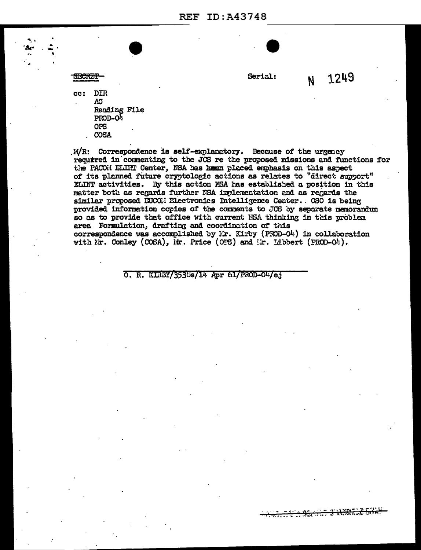**REF ID: A43748** 

**SECRET** 

Serial:

N 1249

**DIR** cc:  $\Lambda$ G **Reading File** PROD-O<sup>1</sup> **OPS** COSA

 $M/R$ : Correspondence is self-explanatory. Because of the urgency required in commenting to the JCS re the proposed missions and functions for the PACOM ELINT Center, NSA has keen placed emphasis on this aspect of its planned future cryptologic actions as relates to "direct support" ELINT activities. By this action NSA has established a position in this matter both as regards further NSA implementation and as regards the similar proposed EUCOM Electronics Intelligence Center. 0S0 is being provided information copies of the comments to JCS by separate memorandum so as to provide that office with current NSA thinking in this problem area Formulation, drafting and coordination of this correspondence was accomplished by  $\lambda$ r. Kirby (PROD-O4) in collaboration with Nr. Conley (COSA), Mr. Price (OPS) and Mr. Libbert (PROD-O4).

O. R. KIRBY/3538s/14 Apr 61/PROD-04/ej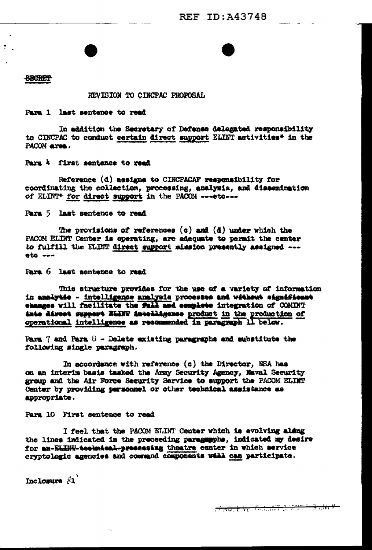### **CBCRETT**

 $\ddot{z}$ 

REVISION TO CINCPAC PROPOSAL

# Para 1 last sentence to read

In addition the Secretary of Defense delegated responsibility to CINCPAC to conduct certain direct support ELINT activities\* in the PACOM area.

Para 4 first sentance to read

Reference (d) assigns to CINCPACAF responsibility for coordinating the collection, processing, analysia, and dissemination of ELINT\* for direct support in the PACOM ---etc---

Para 5 last sentence to read

The provisions of references  $(c)$  and  $(d)$  under which the PACCM ELINT Center is operating, are adequate to permit the center to fulfill the ELINT direct support mission presently assigned -- $etc.$ 

Para 6 last sentence to read

This structure provides for the use of a variety of information in analytie - intelligence analyzis processes and without significant ehanges will facilitate the Pahl and eemplete integration of COMINT inte direct support ELINT intelligence product in the production of operational intelligence as recommended in paragraph 11 below.

Para 7 and Para 8 - Delete existing paragraphs and substitute the following single paragraph.

In accordance with reference (c) the Director, NSA has on an interim basis tasked the Army Security Agency, Naval Security group and the Air Force Security Service to support the PACOM ELIMT Center by providing personnel or other technical assistance as appropriate.

Para 10 First sentence to read

I feel that the PACOM ELINT Center which is evolving aldng the lines indicated in the preceeding paragumphs, indicated my desire for an-ELINT-technical-presessing theatre center in which service cryptologic agencies and command components will can participate.

Inclosure #1

**THE REPORT OF STATISTICS**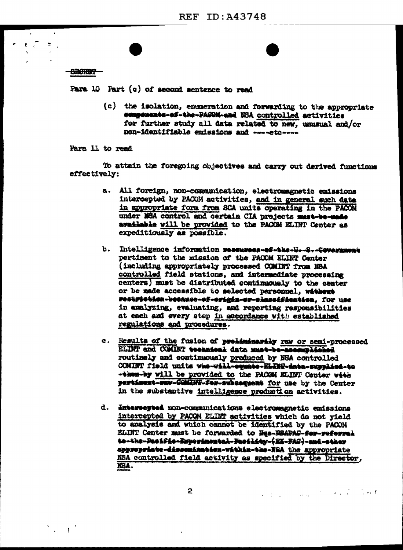**SECRET** 

 $\bullet$   $\bullet$ 

 $\ddot{\ddot{}}$ 

 $\sum_{i=1}^{n}$ 

Para 10 Part  $(c)$  of second sentence to read

(c) the isolation, enmeration and forwarding to the appropriate ecmpenents-ef-the-PAGON-and NSA controlled activities for further study all data related to new, unusual and/or non-identifiable emissions and ----etc----

Para 11 to read

To attain the foregoing objectives and carry out derived functions effectively:

- a. All foreign, non-communication, electromagnetic emissions intercepted by PACOM activities, and in general such data in appropriate form from SCA units operating in the PACOM under NBA control and certain CIA projects must-be-made available will be provided to the PACOM ELINT Center as expeditiously as possible.
- b. Intelligence information researses-ef-the-H--S--Gevernment pertinent to the mission of the PACOM ELINT Center (including appropriately processed COMINT from MSA controlled field stations, and intermediate processing centers) must be distributed continuously to the center or be made accessible to selected personnel. without restrietien-because-ef-origin-or-classification. for use in analyzing, evaluating, and reporting responsibilities at each and every step in accordance with established regulations and procedures.
- c. Results of the fusion of preliminarily ray or semi-processed ELINT and COMIET technical data must-be-ascemplished routinely and continuously produced by NSA controlled COMINT field units who-will-equate-ELINT-data-supplied-to -them-by will be provided to the PACOM ELINT Center with pertinent-way-COMINT-fer-subsequent for use by the Center in the substantive intelligence production activities.
- d. Intercepted non-communications electromagnetic emissions intercepted by PACOM ELINT activities which do not yield to analysis and which cannot be identified by the PACOM ELINT Center must be forwarded to Hes-NSAPAC-fer-referred to-the-Pacific-Reporincated-Facility-(KK-FAC)-and-cther appropriate-dissemination-vithin-the-HSA the appropriate NSA controlled field activity as specified by the Director, NSA.

 $\overline{2}$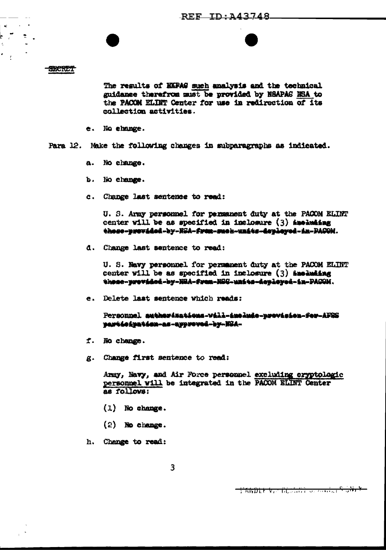### **SECRET**

 $\leq$ 

 $\bullet$  $\mathbf{r}$   $\mathbf{R}^{\text{max}}$ 

The regults of KKPAG such analysis and the technical guidance therefrom must be provided by NSAPAS NSA to the PACON ELIMT Center for use in redirection of its collection activities.

- e. No change.
- Para 12. Make the following changes in subparagraphs as indicated.
	- a. No change.
	- $\mathbf{b}$ . No change.
	- c. Change last sentence to read:

U. S. Army personnel for permanent duty at the PACOM ELINT center will be as specified in inclosure (3) Anoluding these-previded-by-NSA-frem-snek-units-deployed-in-PACOM.

d. Change last sentence to read:

U. S. Navy personnel for permanent duty at the PACOM ELINT center will be as specified in inclosure  $(3)$  including these-previded-by-NRA-frem-NSG-units-deployed-in-PAGOM.

e. Delete last sentence which reads:

Personnel authorisations-will-include-provision-for-AFRS participation-as-approved-by-NSA-

- f. No change.
- g. Change first sentence to read:

Army, Navy, and Air Force personnel excluding cryptologic personnel will be integrated in the PACOM ELINT Center as follows:

- $(1)$  No change.
- $(2)$  No change.
- h. Change to read: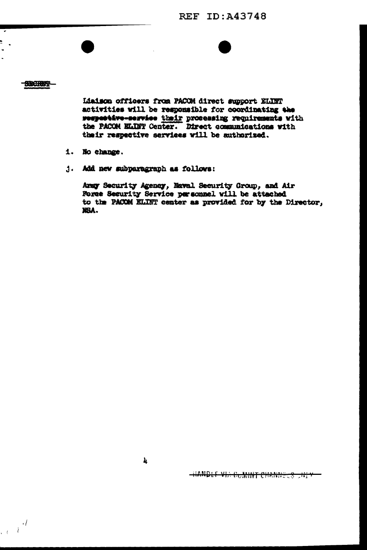**REF ID:A43748** 

# **SECRET?**

ù.

 $\mathcal{L} \in \mathcal{L}^{\frac{d}{2}}$ 

Liaison officers from PACOM direct support ELINT activities will be responsible for coordinating the respective-service their processing requirements with the PACOM ELIMT Center. Direct communications with their respective services will be authorized.

- 1. No change.
- j. Add new subparagraph as follows:

Army Security Ageney, Naval Security Group, and Air Force Security Service personnel will be attached to the PACOM ELINT center as provided for by the Director, XBA.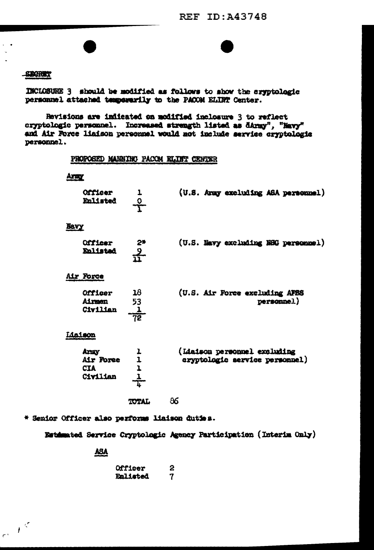# **SBORET**

INCLOSURE 3 should be modified as follows to show the eryptologic personnel attached temperarily to the PACON ELINT Center.

Revisions are indicated on modified inclosure 3 to reflect cryptologic personnel. Increased strength listed as dArmy", "Navy" and Air Force liaison personnel would not include service cryptologic personnel.

# PROPOSED MANNING PACOM ELINT CENTER

| <b>Magazin</b>                              |                     |                                                                |
|---------------------------------------------|---------------------|----------------------------------------------------------------|
| Officer<br>Enlisted                         | $\frac{0}{1}$       | (U.S. Aray excluding ASA personnel)                            |
| Nevy                                        |                     |                                                                |
| Officer<br>Enlisted                         | $rac{2^{*}}{11^{}}$ | (U.S. Navy excluding N8G personnel)                            |
| Air Force                                   |                     |                                                                |
| <b>Officer</b><br>Airmen<br>Civilian        | 18<br>53            | (U.S. Air Force excluding AFSS<br>personnel)                   |
| Lisison                                     |                     |                                                                |
| Army<br>Air Foree<br><b>CIA</b><br>Civilian | $\frac{1}{1}$       | (Liaison personnel excluding<br>cryptologic service personnel) |
|                                             | <b>TOTAL</b>        | 86                                                             |

\* Senior Officer also performs liaison duties.

Estimated Service Cryptologic Agency Participation (Interim Only)

ASA

| <b>Officer</b>  | 2 |
|-----------------|---|
| <b>Enlisted</b> | 7 |

 $e^{-\int_0^t}$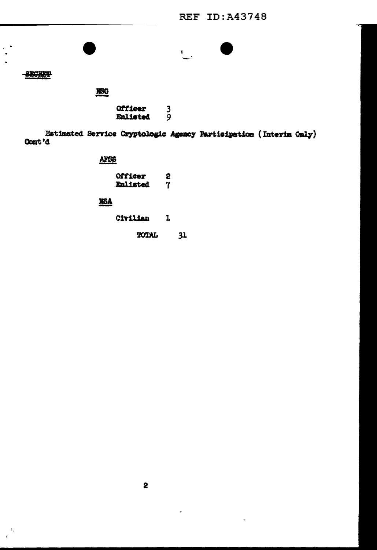**REF ID:A43748** 



**SECRET** 

NBC

 $\frac{3}{9}$ Officer Enlisted

Estimated Service Cryptologic Agency Participation (Interim Only) Cont'd

# AFSS

| Officer  | 2 |
|----------|---|
| Enlisted | 7 |

# **NSA**

Civilian  ${\bf 1}$ 

> **TOTAL**  $31$

 $\epsilon$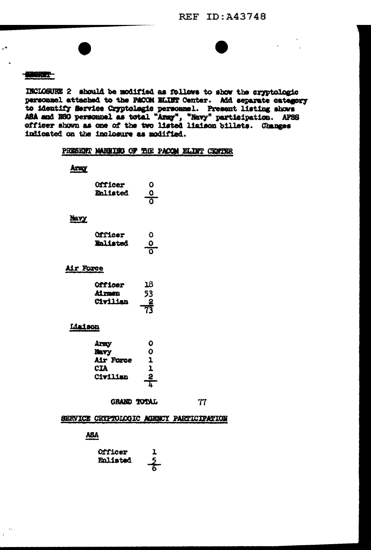**REF ID: A43748** 

# MOREZ-

 $\epsilon^{\epsilon}$ 

INCLOSURE 2 should be modified as follows to show the cryptologic personnel attached to the PACCM ELIET Center. Add separate category to identify Service Cryptologic personnel. Present listing shows ASA and NSG personnel as total "Army", "Navy" participation. AFSS officer shown as one of the two listed liaison billets. Changes indicated on the inclosure as modified.

# PRESENT MANRIED OF THE PACOM ELIMT CENTER

# Army

| <b>Officer</b>  | O                   |
|-----------------|---------------------|
| <b>Enlisted</b> | o                   |
|                 | $\overline{\Omega}$ |

# Navy

| <b>Officer</b>  | Ω                  |
|-----------------|--------------------|
| <b>Enlisted</b> | 0<br>$\frac{1}{2}$ |

## Air Force

| <b>Officer</b>  | 18              |
|-----------------|-----------------|
| Airmen          | 53              |
| <b>Civilian</b> | $-\frac{2}{73}$ |
|                 |                 |

# Lisison

| Army      | ο  |
|-----------|----|
| Mavy      | ο  |
| Air Force | ı  |
| CIA       | 1  |
| Civilian  | 2  |
|           | h. |

GRAND TOTAL

77

# SERVICE CRYPTOLOGIC AGENCY PARTICIPATION

**ASA** 

| <b>Officer</b> | 1             |
|----------------|---------------|
| Enlisted       | $\frac{5}{5}$ |
|                |               |